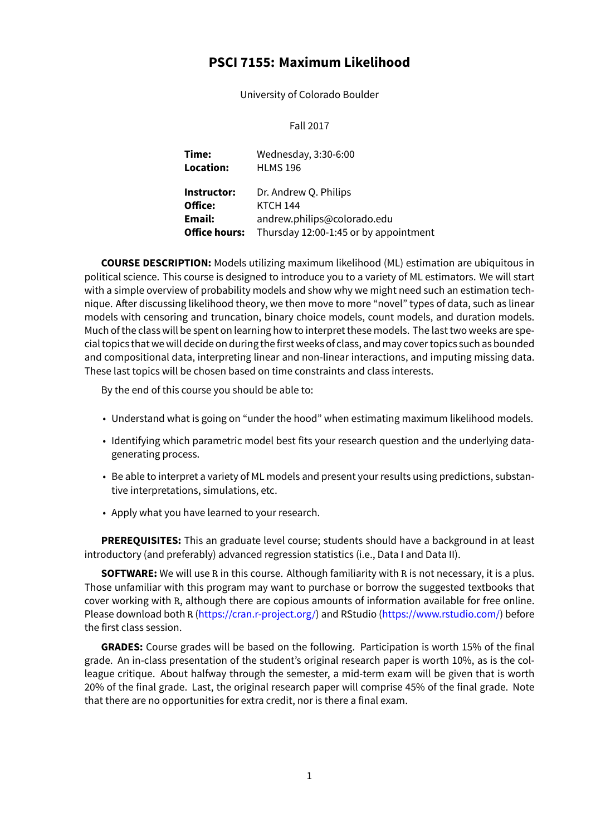# **PSCI 7155: Maximum Likelihood**

University of Colorado Boulder

#### Fall 2017

| Time:<br>Location:   | Wednesday, 3:30-6:00<br><b>HLMS 196</b> |
|----------------------|-----------------------------------------|
| Instructor:          | Dr. Andrew Q. Philips                   |
| Office:              | <b>KTCH 144</b>                         |
| Email:               | andrew.philips@colorado.edu             |
| <b>Office hours:</b> | Thursday 12:00-1:45 or by appointment   |

**COURSE DESCRIPTION:** Models utilizing maximum likelihood (ML) estimation are ubiquitous in political science. This course is designed to introduce you to a variety of ML estimators. We will start with a simple overview of probability models and show why we might need such an estimation technique. After discussing likelihood theory, we then move to more "novel" types of data, such as linear models with censoring and truncation, binary choice models, count models, and duration models. Much of the class will be spent on learning how to interpret these models. The last two weeks are special topics that we will decide on during the first weeks of class, and may cover topics such as bounded and compositional data, interpreting linear and non-linear interactions, and imputing missing data. These last topics will be chosen based on time constraints and class interests.

By the end of this course you should be able to:

- Understand what is going on "under the hood" when estimating maximum likelihood models.
- Identifying which parametric model best fits your research question and the underlying datagenerating process.
- Be able to interpret a variety of ML models and present your results using predictions, substantive interpretations, simulations, etc.
- Apply what you have learned to your research.

**PREREQUISITES:** This an graduate level course; students should have a background in at least introductory (and preferably) advanced regression statistics (i.e., Data I and Data II).

**SOFTWARE:** We will use R in this course. Although familiarity with R is not necessary, it is a plus. Those unfamiliar with this program may want to purchase or borrow the suggested textbooks that cover working with R, although there are copious amounts of information available for free online. Please download both R (<https://cran.r-project.org/>) and RStudio [\(https://www.rstudio.com/\)](https://www.rstudio.com/) before the first class session.

**GRADES:** Course grades will be based on the following. Participation is worth 15% of the final grade. An in-class presentation of the student's original research paper is worth 10%, as is the colleague critique. About halfway through the semester, a mid-term exam will be given that is worth 20% of the final grade. Last, the original research paper will comprise 45% of the final grade. Note that there are no opportunities for extra credit, nor is there a final exam.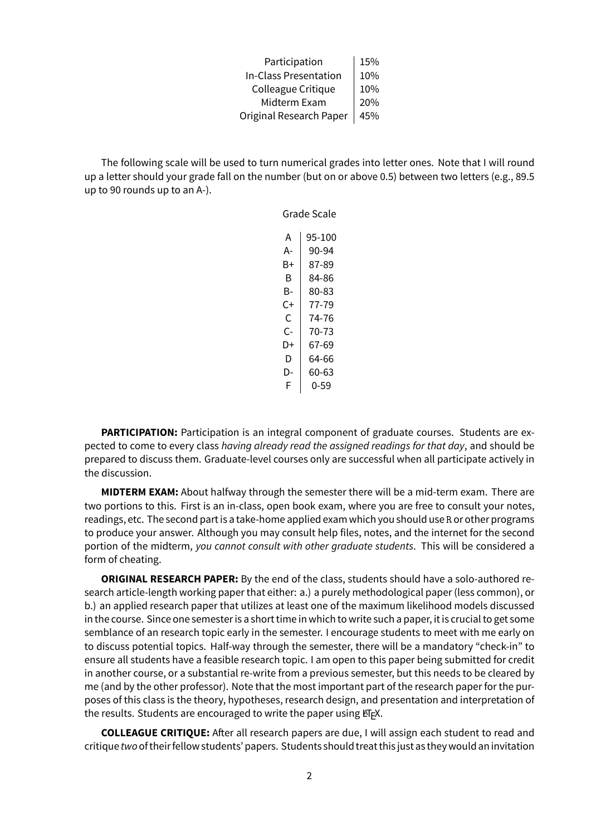Participation 15% In-Class Presentation  $10\%$ Colleague Critique  $10\%$ Midterm Exam | 20% Original Research Paper | 45%

The following scale will be used to turn numerical grades into letter ones. Note that I will round up a letter should your grade fall on the number (but on or above 0.5) between two letters (e.g., 89.5 up to 90 rounds up to an A-).

> Grade Scale  $A$  | 95-100  $A - 90-94$  $B+ | 87-89$  $B$  84-86  $B - 80 - 83$  $C+$  77-79  $C$  74-76  $C-$  70-73  $D+$  67-69  $D$  64-66  $D-$  60-63  $F | 0-59$

**PARTICIPATION:** Participation is an integral component of graduate courses. Students are expected to come to every class *having already read the assigned readings for that day*, and should be prepared to discuss them. Graduate-level courses only are successful when all participate actively in the discussion.

**MIDTERM EXAM:** About halfway through the semester there will be a mid-term exam. There are two portions to this. First is an in-class, open book exam, where you are free to consult your notes, readings, etc. The second part is a take-home applied exam which you should use R or other programs to produce your answer. Although you may consult help files, notes, and the internet for the second portion of the midterm, *you cannot consult with other graduate students*. This will be considered a form of cheating.

**ORIGINAL RESEARCH PAPER:** By the end of the class, students should have a solo-authored research article-length working paper that either: a.) a purely methodological paper (less common), or b.) an applied research paper that utilizes at least one of the maximum likelihood models discussed in the course. Since one semester is a short time in which to write such a paper, it is crucial to get some semblance of an research topic early in the semester. I encourage students to meet with me early on to discuss potential topics. Half-way through the semester, there will be a mandatory "check-in" to ensure all students have a feasible research topic. I am open to this paper being submitted for credit in another course, or a substantial re-write from a previous semester, but this needs to be cleared by me (and by the other professor). Note that the most important part of the research paper for the purposes of this class is the theory, hypotheses, research design, and presentation and interpretation of the results. Students are encouraged to write the paper using  $E/FX$ .

**COLLEAGUE CRITIQUE:** After all research papers are due, I will assign each student to read and critique *two*of theirfellow students' papers. Students should treat this just as they would an invitation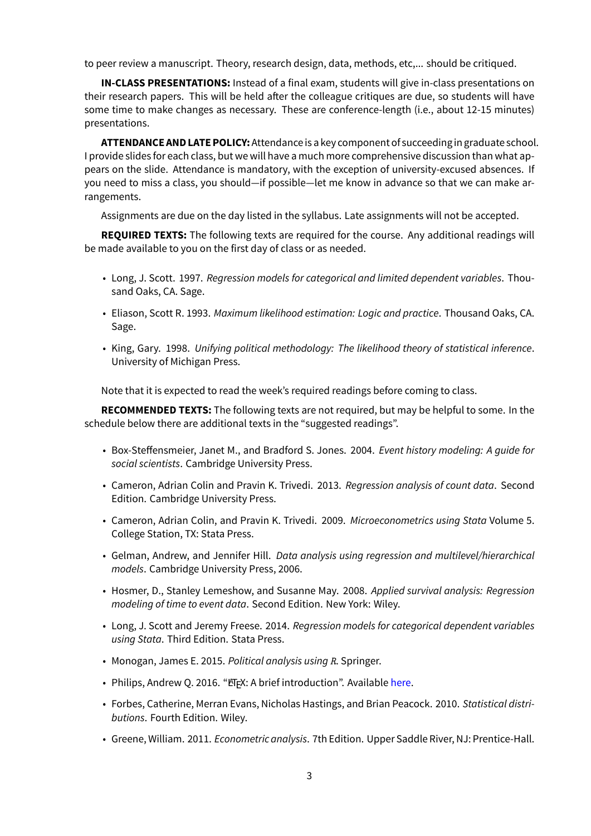to peer review a manuscript. Theory, research design, data, methods, etc,... should be critiqued.

**IN-CLASS PRESENTATIONS:** Instead of a final exam, students will give in-class presentations on their research papers. This will be held after the colleague critiques are due, so students will have some time to make changes as necessary. These are conference-length (i.e., about 12-15 minutes) presentations.

**ATTENDANCE AND LATE POLICY:**Attendance is a key component of succeeding in graduate school. I provide slides for each class, but we will have a much more comprehensive discussion than what appears on the slide. Attendance is mandatory, with the exception of university-excused absences. If you need to miss a class, you should—if possible—let me know in advance so that we can make arrangements.

Assignments are due on the day listed in the syllabus. Late assignments will not be accepted.

**REQUIRED TEXTS:** The following texts are required for the course. Any additional readings will be made available to you on the first day of class or as needed.

- Long, J. Scott. 1997. *Regression models for categorical and limited dependent variables*. Thousand Oaks, CA. Sage.
- Eliason, Scott R. 1993. *Maximum likelihood estimation: Logic and practice*. Thousand Oaks, CA. Sage.
- King, Gary. 1998. *Unifying political methodology: The likelihood theory of statistical inference*. University of Michigan Press.

Note that it is expected to read the week's required readings before coming to class.

**RECOMMENDED TEXTS:** The following texts are not required, but may be helpful to some. In the schedule below there are additional texts in the "suggested readings".

- Box-Steffensmeier, Janet M., and Bradford S. Jones. 2004. *Event history modeling: A guide for social scientists*. Cambridge University Press.
- Cameron, Adrian Colin and Pravin K. Trivedi. 2013. *Regression analysis of count data*. Second Edition. Cambridge University Press.
- Cameron, Adrian Colin, and Pravin K. Trivedi. 2009. *Microeconometrics using Stata* Volume 5. College Station, TX: Stata Press.
- Gelman, Andrew, and Jennifer Hill. *Data analysis using regression and multilevel/hierarchical models*. Cambridge University Press, 2006.
- Hosmer, D., Stanley Lemeshow, and Susanne May. 2008. *Applied survival analysis: Regression modeling of time to event data*. Second Edition. New York: Wiley.
- Long, J. Scott and Jeremy Freese. 2014. *Regression models for categorical dependent variables using Stata*. Third Edition. Stata Press.
- Monogan, James E. 2015. *Political analysis using R*. Springer.
- Philips, Andrew Q. 2016. "ETEX: A brief introduction". Available [here](http://www.andyphilips.com/downloads/introduction%20to%20latex%20Philips.pdf).
- Forbes, Catherine, Merran Evans, Nicholas Hastings, and Brian Peacock. 2010. *Statistical distributions*. Fourth Edition. Wiley.
- Greene, William. 2011. *Econometric analysis*. 7th Edition. Upper Saddle River, NJ: Prentice-Hall.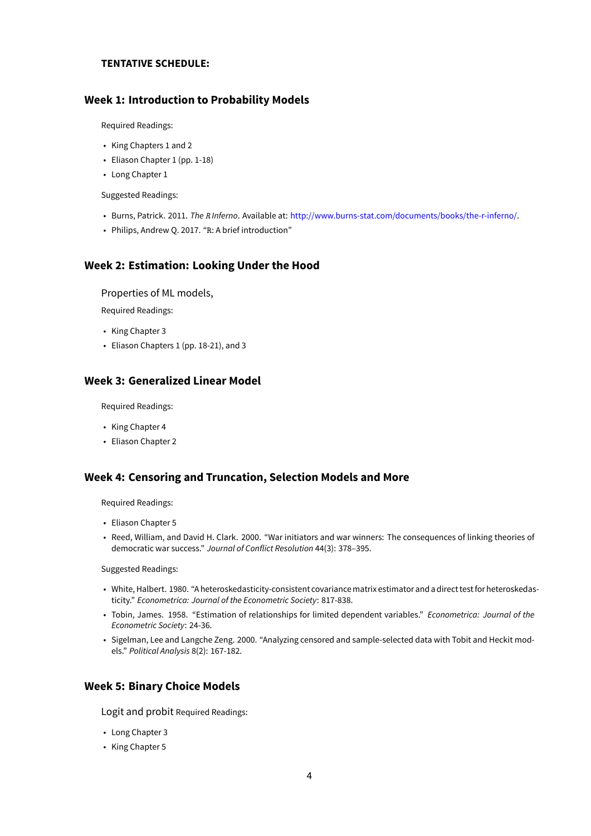#### **TENTATIVE SCHEDULE:**

# **Week 1: Introduction to Probability Models**

Required Readings:

- King Chapters 1 and 2
- Eliason Chapter 1 (pp. 1-18)
- Long Chapter 1

Suggested Readings:

- Burns, Patrick. 2011. *The R Inferno*. Available at: [http://www.burns-stat.com/documents/books/the-r-inferno/.](http://www.burns-stat.com/documents/books/the-r-inferno/)
- Philips, Andrew Q. 2017. "R: A brief introduction"

# **Week 2: Estimation: Looking Under the Hood**

Properties of ML models,

Required Readings:

- King Chapter 3
- Eliason Chapters 1 (pp. 18-21), and 3

# **Week 3: Generalized Linear Model**

Required Readings:

- King Chapter 4
- Eliason Chapter 2

### **Week 4: Censoring and Truncation, Selection Models and More**

Required Readings:

- Eliason Chapter 5
- Reed, William, and David H. Clark. 2000. "War initiators and war winners: The consequences of linking theories of democratic war success." *Journal of Conflict Resolution* 44(3): 378–395.

Suggested Readings:

- White, Halbert. 1980. "A heteroskedasticity-consistent covariancematrix estimator and a direct testfor heteroskedasticity." *Econometrica: Journal of the Econometric Society*: 817-838.
- Tobin, James. 1958. "Estimation of relationships for limited dependent variables." *Econometrica: Journal of the Econometric Society*: 24-36.
- Sigelman, Lee and Langche Zeng. 2000. "Analyzing censored and sample-selected data with Tobit and Heckit models." *Political Analysis* 8(2): 167-182.

# **Week 5: Binary Choice Models**

Logit and probit Required Readings:

- Long Chapter 3
- King Chapter 5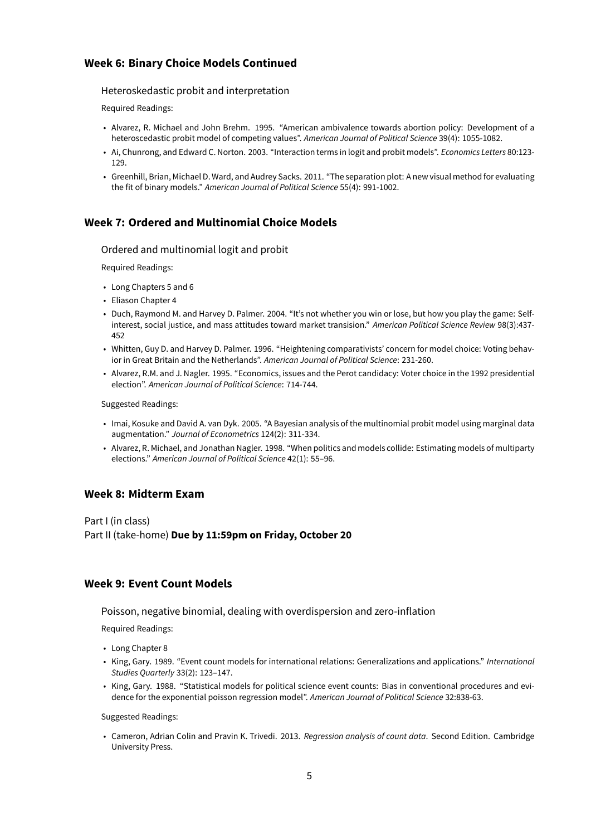# **Week 6: Binary Choice Models Continued**

Heteroskedastic probit and interpretation

Required Readings:

- Alvarez, R. Michael and John Brehm. 1995. "American ambivalence towards abortion policy: Development of a heteroscedastic probit model of competing values". *American Journal of Political Science* 39(4): 1055-1082.
- Ai, Chunrong, and Edward C. Norton. 2003. "Interaction terms in logit and probit models". *Economics Letters* 80:123- 129.
- Greenhill, Brian, Michael D. Ward, and Audrey Sacks. 2011. "The separation plot: A new visual method for evaluating the fit of binary models." *American Journal of Political Science* 55(4): 991-1002.

# **Week 7: Ordered and Multinomial Choice Models**

#### Ordered and multinomial logit and probit

Required Readings:

- Long Chapters 5 and 6
- Eliason Chapter 4
- Duch, Raymond M. and Harvey D. Palmer. 2004. "It's not whether you win or lose, but how you play the game: Selfinterest, social justice, and mass attitudes toward market transision." *American Political Science Review* 98(3):437- 452
- Whitten, Guy D. and Harvey D. Palmer. 1996. "Heightening comparativists' concern for model choice: Voting behavior in Great Britain and the Netherlands". *American Journal of Political Science*: 231-260.
- Alvarez, R.M. and J. Nagler. 1995. "Economics, issues and the Perot candidacy: Voter choice in the 1992 presidential election". *American Journal of Political Science*: 714-744.

Suggested Readings:

- Imai, Kosuke and David A. van Dyk. 2005. "A Bayesian analysis of the multinomial probit model using marginal data augmentation." *Journal of Econometrics* 124(2): 311-334.
- Alvarez, R. Michael, and Jonathan Nagler. 1998. "When politics and models collide: Estimating models of multiparty elections." *American Journal of Political Science* 42(1): 55–96.

# **Week 8: Midterm Exam**

Part I (in class) Part II (take-home) **Due by 11:59pm on Friday, October 20**

### **Week 9: Event Count Models**

Poisson, negative binomial, dealing with overdispersion and zero-inflation

Required Readings:

- Long Chapter 8
- King, Gary. 1989. "Event count models for international relations: Generalizations and applications." *International Studies Quarterly* 33(2): 123–147.
- King, Gary. 1988. "Statistical models for political science event counts: Bias in conventional procedures and evidence for the exponential poisson regression model". *American Journal of Political Science* 32:838-63.

Suggested Readings:

• Cameron, Adrian Colin and Pravin K. Trivedi. 2013. *Regression analysis of count data*. Second Edition. Cambridge University Press.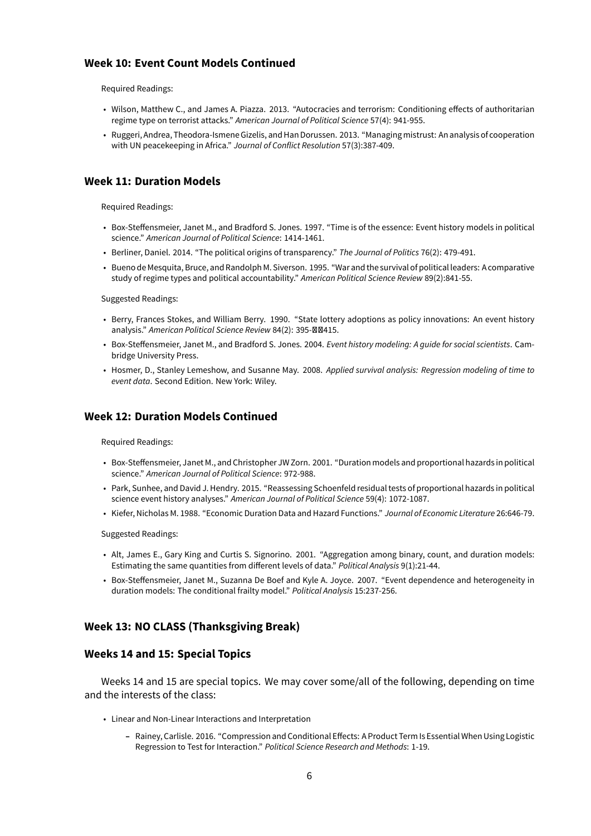# **Week 10: Event Count Models Continued**

Required Readings:

- Wilson, Matthew C., and James A. Piazza. 2013. "Autocracies and terrorism: Conditioning effects of authoritarian regime type on terrorist attacks." *American Journal of Political Science* 57(4): 941-955.
- Ruggeri, Andrea, Theodora-Ismene Gizelis, and Han Dorussen. 2013. "Managingmistrust: An analysis of cooperation with UN peacekeeping in Africa." *Journal of Conflict Resolution* 57(3):387-409.

# **Week 11: Duration Models**

Required Readings:

- Box-Steffensmeier, Janet M., and Bradford S. Jones. 1997. "Time is of the essence: Event history models in political science." *American Journal of Political Science*: 1414-1461.
- Berliner, Daniel. 2014. "The political origins of transparency." *The Journal of Politics* 76(2): 479-491.
- Bueno de Mesquita, Bruce, and Randolph M. Siverson. 1995. "War and the survival of political leaders: A comparative study of regime types and political accountability." *American Political Science Review* 89(2):841-55.

Suggested Readings:

- Berry, Frances Stokes, and William Berry. 1990. "State lottery adoptions as policy innovations: An event history analysis." American Political Science Review 84(2): 395-**ØØ415.**
- Box-Steffensmeier, Janet M., and Bradford S. Jones. 2004. *Event history modeling: A guide for social scientists*. Cambridge University Press.
- Hosmer, D., Stanley Lemeshow, and Susanne May. 2008. *Applied survival analysis: Regression modeling of time to event data*. Second Edition. New York: Wiley.

# **Week 12: Duration Models Continued**

Required Readings:

- Box-Steffensmeier, Janet M., and Christopher JW Zorn. 2001. "Duration models and proportional hazards in political science." *American Journal of Political Science*: 972-988.
- Park, Sunhee, and David J. Hendry. 2015. "Reassessing Schoenfeld residual tests of proportional hazards in political science event history analyses." *American Journal of Political Science* 59(4): 1072-1087.
- Kiefer, Nicholas M. 1988. "Economic Duration Data and Hazard Functions." *Journal of Economic Literature* 26:646-79.

Suggested Readings:

- Alt, James E., Gary King and Curtis S. Signorino. 2001. "Aggregation among binary, count, and duration models: Estimating the same quantities from different levels of data." *Political Analysis* 9(1):21-44.
- Box-Steffensmeier, Janet M., Suzanna De Boef and Kyle A. Joyce. 2007. "Event dependence and heterogeneity in duration models: The conditional frailty model." *Political Analysis* 15:237-256.

### **Week 13: NO CLASS (Thanksgiving Break)**

#### **Weeks 14 and 15: Special Topics**

Weeks 14 and 15 are special topics. We may cover some/all of the following, depending on time and the interests of the class:

- Linear and Non-Linear Interactions and Interpretation
	- **–** Rainey, Carlisle. 2016. "Compression and Conditional Effects: A Product Term Is Essential When Using Logistic Regression to Test for Interaction." *Political Science Research and Methods*: 1-19.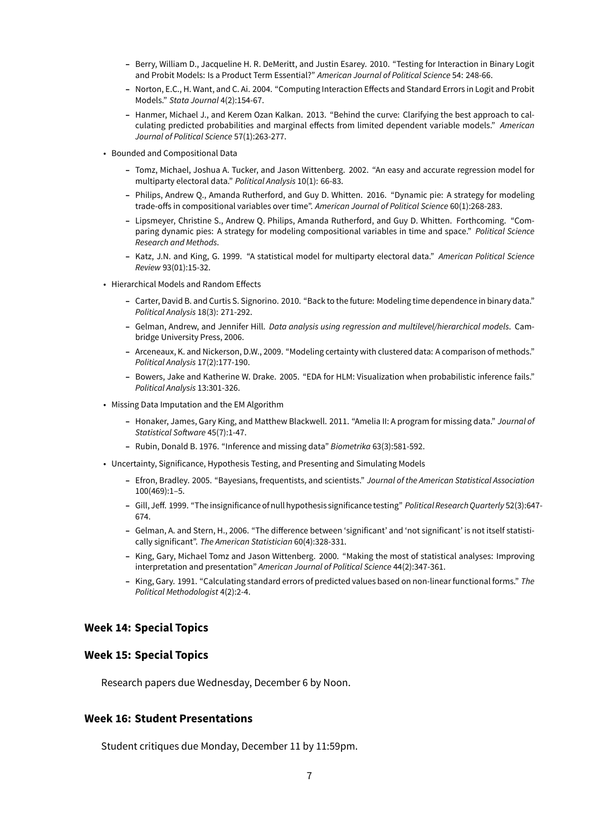- **–** Berry, William D., Jacqueline H. R. DeMeritt, and Justin Esarey. 2010. "Testing for Interaction in Binary Logit and Probit Models: Is a Product Term Essential?" *American Journal of Political Science* 54: 248-66.
- **–** Norton, E.C., H. Want, and C. Ai. 2004. "Computing Interaction Effects and Standard Errors in Logit and Probit Models." *Stata Journal* 4(2):154-67.
- **–** Hanmer, Michael J., and Kerem Ozan Kalkan. 2013. "Behind the curve: Clarifying the best approach to calculating predicted probabilities and marginal effects from limited dependent variable models." *American Journal of Political Science* 57(1):263-277.
- Bounded and Compositional Data
	- **–** Tomz, Michael, Joshua A. Tucker, and Jason Wittenberg. 2002. "An easy and accurate regression model for multiparty electoral data." *Political Analysis* 10(1): 66-83.
	- **–** Philips, Andrew Q., Amanda Rutherford, and Guy D. Whitten. 2016. "Dynamic pie: A strategy for modeling trade-offs in compositional variables over time". *American Journal of Political Science* 60(1):268-283.
	- **–** Lipsmeyer, Christine S., Andrew Q. Philips, Amanda Rutherford, and Guy D. Whitten. Forthcoming. "Comparing dynamic pies: A strategy for modeling compositional variables in time and space." *Political Science Research and Methods*.
	- **–** Katz, J.N. and King, G. 1999. "A statistical model for multiparty electoral data." *American Political Science Review* 93(01):15-32.
- Hierarchical Models and Random Effects
	- **–** Carter, David B. and Curtis S. Signorino. 2010. "Back to the future: Modeling time dependence in binary data." *Political Analysis* 18(3): 271-292.
	- **–** Gelman, Andrew, and Jennifer Hill. *Data analysis using regression and multilevel/hierarchical models*. Cambridge University Press, 2006.
	- **–** Arceneaux, K. and Nickerson, D.W., 2009. "Modeling certainty with clustered data: A comparison of methods." *Political Analysis* 17(2):177-190.
	- **–** Bowers, Jake and Katherine W. Drake. 2005. "EDA for HLM: Visualization when probabilistic inference fails." *Political Analysis* 13:301-326.
- Missing Data Imputation and the EM Algorithm
	- **–** Honaker, James, Gary King, and Matthew Blackwell. 2011. "Amelia II: A program for missing data." *Journal of Statistical Software* 45(7):1-47.
	- **–** Rubin, Donald B. 1976. "Inference and missing data" *Biometrika* 63(3):581-592.
- Uncertainty, Significance, Hypothesis Testing, and Presenting and Simulating Models
	- **–** Efron, Bradley. 2005. "Bayesians, frequentists, and scientists." *Journal of the American Statistical Association* 100(469):1–5.
	- **–** Gill, Jeff. 1999. "The insignificance of null hypothesis significance testing" *Political Research Quarterly* 52(3):647- 674.
	- **–** Gelman, A. and Stern, H., 2006. "The difference between 'significant' and 'not significant' is not itself statistically significant". *The American Statistician* 60(4):328-331.
	- **–** King, Gary, Michael Tomz and Jason Wittenberg. 2000. "Making the most of statistical analyses: Improving interpretation and presentation" *American Journal of Political Science* 44(2):347-361.
	- **–** King, Gary. 1991. "Calculating standard errors of predicted values based on non-linear functional forms." *The Political Methodologist* 4(2):2-4.

## **Week 14: Special Topics**

#### **Week 15: Special Topics**

Research papers due Wednesday, December 6 by Noon.

#### **Week 16: Student Presentations**

Student critiques due Monday, December 11 by 11:59pm.